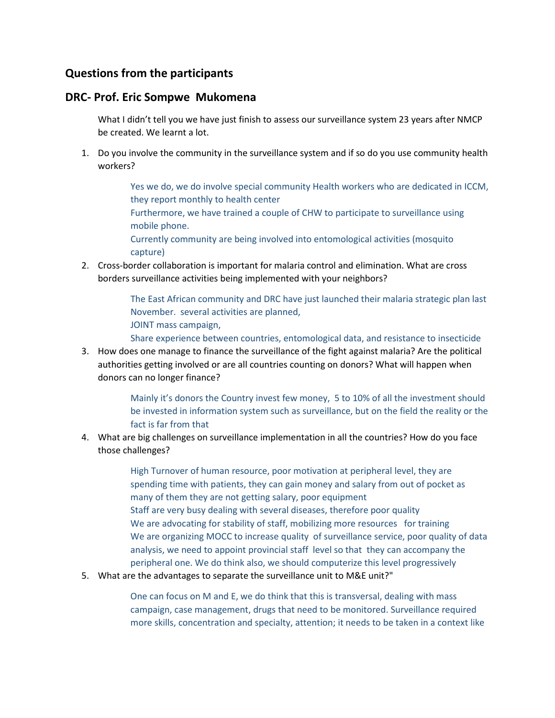## **Questions from the participants**

### **DRC- Prof. Eric Sompwe Mukomena**

What I didn't tell you we have just finish to assess our surveillance system 23 years after NMCP be created. We learnt a lot.

1. Do you involve the community in the surveillance system and if so do you use community health workers?

> Yes we do, we do involve special community Health workers who are dedicated in ICCM, they report monthly to health center

Furthermore, we have trained a couple of CHW to participate to surveillance using mobile phone.

Currently community are being involved into entomological activities (mosquito capture)

2. Cross-border collaboration is important for malaria control and elimination. What are cross borders surveillance activities being implemented with your neighbors?

> The East African community and DRC have just launched their malaria strategic plan last November. several activities are planned, JOINT mass campaign,

Share experience between countries, entomological data, and resistance to insecticide

3. How does one manage to finance the surveillance of the fight against malaria? Are the political authorities getting involved or are all countries counting on donors? What will happen when donors can no longer finance?

> Mainly it's donors the Country invest few money, 5 to 10% of all the investment should be invested in information system such as surveillance, but on the field the reality or the fact is far from that

4. What are big challenges on surveillance implementation in all the countries? How do you face those challenges?

> High Turnover of human resource, poor motivation at peripheral level, they are spending time with patients, they can gain money and salary from out of pocket as many of them they are not getting salary, poor equipment Staff are very busy dealing with several diseases, therefore poor quality We are advocating for stability of staff, mobilizing more resources for training We are organizing MOCC to increase quality of surveillance service, poor quality of data analysis, we need to appoint provincial staff level so that they can accompany the peripheral one. We do think also, we should computerize this level progressively

5. What are the advantages to separate the surveillance unit to M&E unit?"

One can focus on M and E, we do think that this is transversal, dealing with mass campaign, case management, drugs that need to be monitored. Surveillance required more skills, concentration and specialty, attention; it needs to be taken in a context like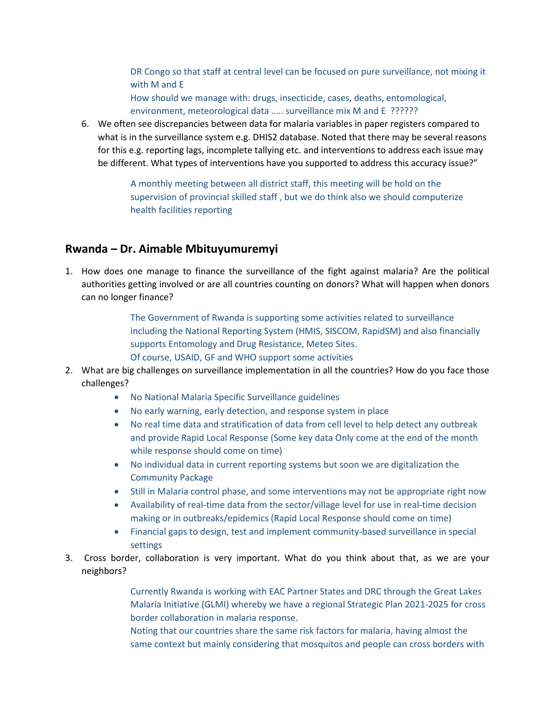DR Congo so that staff at central level can be focused on pure surveillance, not mixing it with M and E

How should we manage with: drugs, insecticide, cases, deaths, entomological, environment, meteorological data ….. surveillance mix M and E ??????

6. We often see discrepancies between data for malaria variables in paper registers compared to what is in the surveillance system e.g. DHIS2 database. Noted that there may be several reasons for this e.g. reporting lags, incomplete tallying etc. and interventions to address each issue may be different. What types of interventions have you supported to address this accuracy issue?"

> A monthly meeting between all district staff, this meeting will be hold on the supervision of provincial skilled staff , but we do think also we should computerize health facilities reporting

# **Rwanda – Dr. Aimable Mbituyumuremyi**

1. How does one manage to finance the surveillance of the fight against malaria? Are the political authorities getting involved or are all countries counting on donors? What will happen when donors can no longer finance?

> The Government of Rwanda is supporting some activities related to surveillance including the National Reporting System (HMIS, SISCOM, RapidSM) and also financially supports Entomology and Drug Resistance, Meteo Sites. Of course, USAID, GF and WHO support some activities

- 2. What are big challenges on surveillance implementation in all the countries? How do you face those challenges?
	- No National Malaria Specific Surveillance guidelines
	- No early warning, early detection, and response system in place
	- No real time data and stratification of data from cell level to help detect any outbreak and provide Rapid Local Response (Some key data Only come at the end of the month while response should come on time)
	- No individual data in current reporting systems but soon we are digitalization the Community Package
	- Still in Malaria control phase, and some interventions may not be appropriate right now
	- Availability of real-time data from the sector/village level for use in real-time decision making or in outbreaks/epidemics (Rapid Local Response should come on time)
	- Financial gaps to design, test and implement community-based surveillance in special settings
- 3. Cross border, collaboration is very important. What do you think about that, as we are your neighbors?

Currently Rwanda is working with EAC Partner States and DRC through the Great Lakes Malaria Initiative (GLMI) whereby we have a regional Strategic Plan 2021-2025 for cross border collaboration in malaria response.

Noting that our countries share the same risk factors for malaria, having almost the same context but mainly considering that mosquitos and people can cross borders with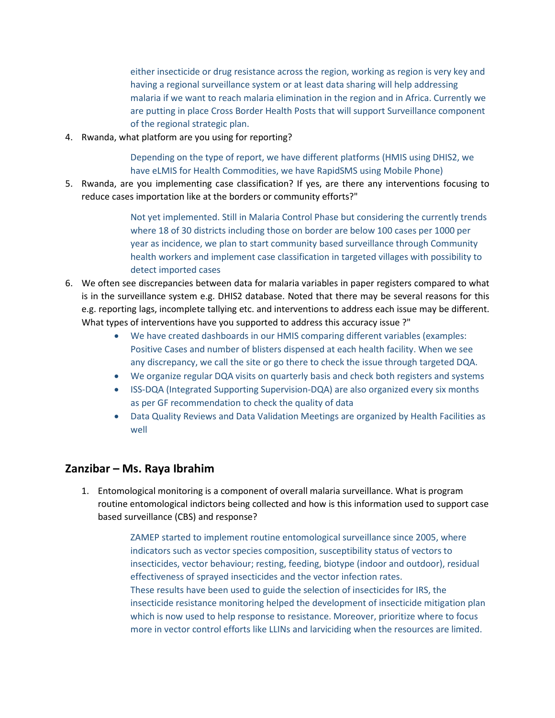either insecticide or drug resistance across the region, working as region is very key and having a regional surveillance system or at least data sharing will help addressing malaria if we want to reach malaria elimination in the region and in Africa. Currently we are putting in place Cross Border Health Posts that will support Surveillance component of the regional strategic plan.

4. Rwanda, what platform are you using for reporting?

Depending on the type of report, we have different platforms (HMIS using DHIS2, we have eLMIS for Health Commodities, we have RapidSMS using Mobile Phone)

5. Rwanda, are you implementing case classification? If yes, are there any interventions focusing to reduce cases importation like at the borders or community efforts?"

> Not yet implemented. Still in Malaria Control Phase but considering the currently trends where 18 of 30 districts including those on border are below 100 cases per 1000 per year as incidence, we plan to start community based surveillance through Community health workers and implement case classification in targeted villages with possibility to detect imported cases

- 6. We often see discrepancies between data for malaria variables in paper registers compared to what is in the surveillance system e.g. DHIS2 database. Noted that there may be several reasons for this e.g. reporting lags, incomplete tallying etc. and interventions to address each issue may be different. What types of interventions have you supported to address this accuracy issue ?"
	- We have created dashboards in our HMIS comparing different variables (examples: Positive Cases and number of blisters dispensed at each health facility. When we see any discrepancy, we call the site or go there to check the issue through targeted DQA.
	- We organize regular DQA visits on quarterly basis and check both registers and systems
	- ISS-DQA (Integrated Supporting Supervision-DQA) are also organized every six months as per GF recommendation to check the quality of data
	- Data Quality Reviews and Data Validation Meetings are organized by Health Facilities as well

## **Zanzibar – Ms. Raya Ibrahim**

1. Entomological monitoring is a component of overall malaria surveillance. What is program routine entomological indictors being collected and how is this information used to support case based surveillance (CBS) and response?

> ZAMEP started to implement routine entomological surveillance since 2005, where indicators such as vector species composition, susceptibility status of vectors to insecticides, vector behaviour; resting, feeding, biotype (indoor and outdoor), residual effectiveness of sprayed insecticides and the vector infection rates. These results have been used to guide the selection of insecticides for IRS, the insecticide resistance monitoring helped the development of insecticide mitigation plan which is now used to help response to resistance. Moreover, prioritize where to focus more in vector control efforts like LLINs and larviciding when the resources are limited.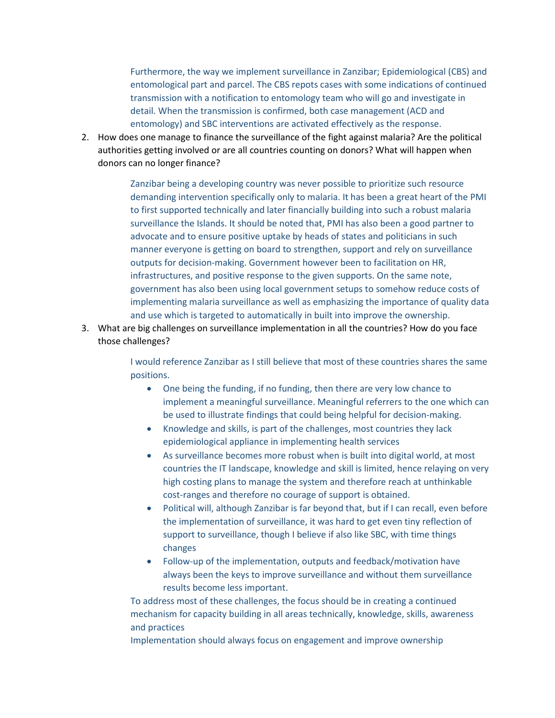Furthermore, the way we implement surveillance in Zanzibar; Epidemiological (CBS) and entomological part and parcel. The CBS repots cases with some indications of continued transmission with a notification to entomology team who will go and investigate in detail. When the transmission is confirmed, both case management (ACD and entomology) and SBC interventions are activated effectively as the response.

2. How does one manage to finance the surveillance of the fight against malaria? Are the political authorities getting involved or are all countries counting on donors? What will happen when donors can no longer finance?

> Zanzibar being a developing country was never possible to prioritize such resource demanding intervention specifically only to malaria. It has been a great heart of the PMI to first supported technically and later financially building into such a robust malaria surveillance the Islands. It should be noted that, PMI has also been a good partner to advocate and to ensure positive uptake by heads of states and politicians in such manner everyone is getting on board to strengthen, support and rely on surveillance outputs for decision-making. Government however been to facilitation on HR, infrastructures, and positive response to the given supports. On the same note, government has also been using local government setups to somehow reduce costs of implementing malaria surveillance as well as emphasizing the importance of quality data and use which is targeted to automatically in built into improve the ownership.

3. What are big challenges on surveillance implementation in all the countries? How do you face those challenges?

> I would reference Zanzibar as I still believe that most of these countries shares the same positions.

- One being the funding, if no funding, then there are very low chance to implement a meaningful surveillance. Meaningful referrers to the one which can be used to illustrate findings that could being helpful for decision-making.
- Knowledge and skills, is part of the challenges, most countries they lack epidemiological appliance in implementing health services
- As surveillance becomes more robust when is built into digital world, at most countries the IT landscape, knowledge and skill is limited, hence relaying on very high costing plans to manage the system and therefore reach at unthinkable cost-ranges and therefore no courage of support is obtained.
- Political will, although Zanzibar is far beyond that, but if I can recall, even before the implementation of surveillance, it was hard to get even tiny reflection of support to surveillance, though I believe if also like SBC, with time things changes
- Follow-up of the implementation, outputs and feedback/motivation have always been the keys to improve surveillance and without them surveillance results become less important.

To address most of these challenges, the focus should be in creating a continued mechanism for capacity building in all areas technically, knowledge, skills, awareness and practices

Implementation should always focus on engagement and improve ownership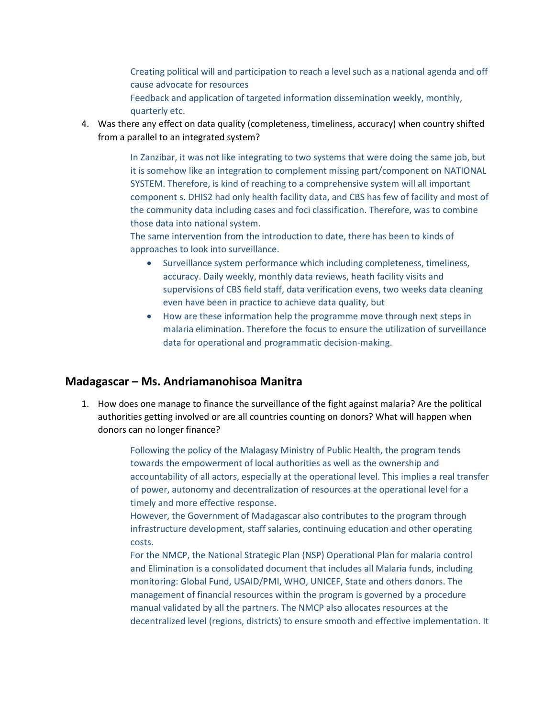Creating political will and participation to reach a level such as a national agenda and off cause advocate for resources

Feedback and application of targeted information dissemination weekly, monthly, quarterly etc.

4. Was there any effect on data quality (completeness, timeliness, accuracy) when country shifted from a parallel to an integrated system?

> In Zanzibar, it was not like integrating to two systems that were doing the same job, but it is somehow like an integration to complement missing part/component on NATIONAL SYSTEM. Therefore, is kind of reaching to a comprehensive system will all important component s. DHIS2 had only health facility data, and CBS has few of facility and most of the community data including cases and foci classification. Therefore, was to combine those data into national system.

The same intervention from the introduction to date, there has been to kinds of approaches to look into surveillance.

- Surveillance system performance which including completeness, timeliness, accuracy. Daily weekly, monthly data reviews, heath facility visits and supervisions of CBS field staff, data verification evens, two weeks data cleaning even have been in practice to achieve data quality, but
- How are these information help the programme move through next steps in malaria elimination. Therefore the focus to ensure the utilization of surveillance data for operational and programmatic decision-making.

#### **Madagascar – Ms. Andriamanohisoa Manitra**

1. How does one manage to finance the surveillance of the fight against malaria? Are the political authorities getting involved or are all countries counting on donors? What will happen when donors can no longer finance?

> Following the policy of the Malagasy Ministry of Public Health, the program tends towards the empowerment of local authorities as well as the ownership and accountability of all actors, especially at the operational level. This implies a real transfer of power, autonomy and decentralization of resources at the operational level for a timely and more effective response.

However, the Government of Madagascar also contributes to the program through infrastructure development, staff salaries, continuing education and other operating costs.

For the NMCP, the National Strategic Plan (NSP) Operational Plan for malaria control and Elimination is a consolidated document that includes all Malaria funds, including monitoring: Global Fund, USAID/PMI, WHO, UNICEF, State and others donors. The management of financial resources within the program is governed by a procedure manual validated by all the partners. The NMCP also allocates resources at the decentralized level (regions, districts) to ensure smooth and effective implementation. It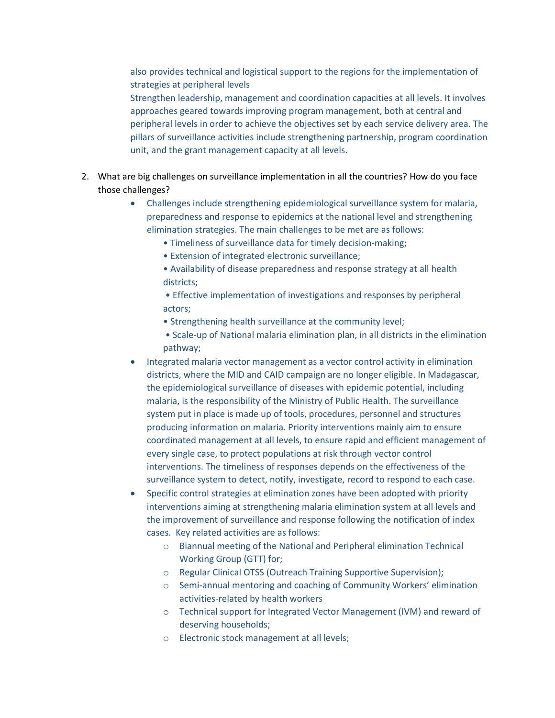also provides technical and logistical support to the regions for the implementation of strategies at peripheral levels

Strengthen leadership, management and coordination capacities at all levels. It involves approaches geared towards improving program management, both at central and peripheral levels in order to achieve the objectives set by each service delivery area. The pillars of surveillance activities include strengthening partnership, program coordination unit, and the grant management capacity at all levels.

- 2. What are big challenges on surveillance implementation in all the countries? How do you face those challenges?
	- Challenges include strengthening epidemiological surveillance system for malaria, preparedness and response to epidemics at the national level and strengthening elimination strategies. The main challenges to be met are as follows:
		- Timeliness of surveillance data for timely decision-making;
		- Extension of integrated electronic surveillance;
		- Availability of disease preparedness and response strategy at all health districts;
		- Effective implementation of investigations and responses by peripheral actors;
		- Strengthening health surveillance at the community level;
		- Scale-up of National malaria elimination plan, in all districts in the elimination pathway;
	- Integrated malaria vector management as a vector control activity in elimination districts, where the MID and CAID campaign are no longer eligible. In Madagascar, the epidemiological surveillance of diseases with epidemic potential, including malaria, is the responsibility of the Ministry of Public Health. The surveillance system put in place is made up of tools, procedures, personnel and structures producing information on malaria. Priority interventions mainly aim to ensure coordinated management at all levels, to ensure rapid and efficient management of every single case, to protect populations at risk through vector control interventions. The timeliness of responses depends on the effectiveness of the surveillance system to detect, notify, investigate, record to respond to each case.
	- Specific control strategies at elimination zones have been adopted with priority interventions aiming at strengthening malaria elimination system at all levels and the improvement of surveillance and response following the notification of index cases. Key related activities are as follows:
		- o Biannual meeting of the National and Peripheral elimination Technical Working Group (GTT) for;
		- o Regular Clinical OTSS (Outreach Training Supportive Supervision);
		- $\circ$  Semi-annual mentoring and coaching of Community Workers' elimination activities-related by health workers
		- o Technical support for Integrated Vector Management (IVM) and reward of deserving households;
		- o Electronic stock management at all levels;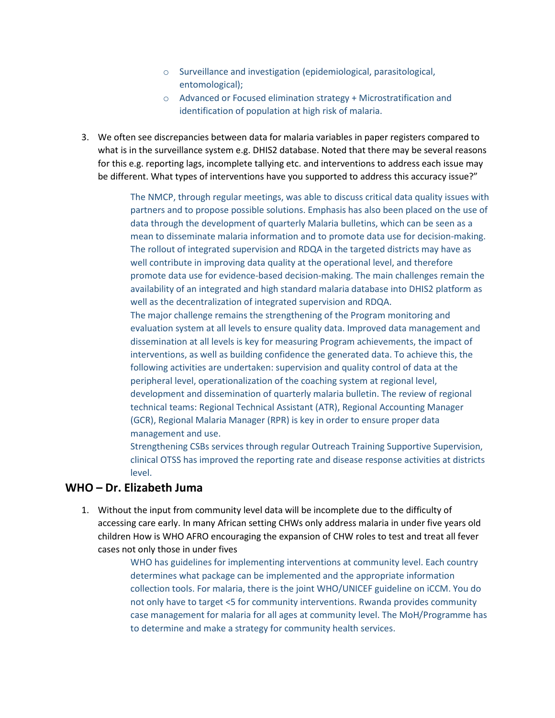- o Surveillance and investigation (epidemiological, parasitological, entomological);
- o Advanced or Focused elimination strategy + Microstratification and identification of population at high risk of malaria.
- 3. We often see discrepancies between data for malaria variables in paper registers compared to what is in the surveillance system e.g. DHIS2 database. Noted that there may be several reasons for this e.g. reporting lags, incomplete tallying etc. and interventions to address each issue may be different. What types of interventions have you supported to address this accuracy issue?"

The NMCP, through regular meetings, was able to discuss critical data quality issues with partners and to propose possible solutions. Emphasis has also been placed on the use of data through the development of quarterly Malaria bulletins, which can be seen as a mean to disseminate malaria information and to promote data use for decision-making. The rollout of integrated supervision and RDQA in the targeted districts may have as well contribute in improving data quality at the operational level, and therefore promote data use for evidence-based decision-making. The main challenges remain the availability of an integrated and high standard malaria database into DHIS2 platform as well as the decentralization of integrated supervision and RDQA.

The major challenge remains the strengthening of the Program monitoring and evaluation system at all levels to ensure quality data. Improved data management and dissemination at all levels is key for measuring Program achievements, the impact of interventions, as well as building confidence the generated data. To achieve this, the following activities are undertaken: supervision and quality control of data at the peripheral level, operationalization of the coaching system at regional level, development and dissemination of quarterly malaria bulletin. The review of regional technical teams: Regional Technical Assistant (ATR), Regional Accounting Manager (GCR), Regional Malaria Manager (RPR) is key in order to ensure proper data management and use.

Strengthening CSBs services through regular Outreach Training Supportive Supervision, clinical OTSS has improved the reporting rate and disease response activities at districts level.

#### **WHO – Dr. Elizabeth Juma**

1. Without the input from community level data will be incomplete due to the difficulty of accessing care early. In many African setting CHWs only address malaria in under five years old children How is WHO AFRO encouraging the expansion of CHW roles to test and treat all fever cases not only those in under fives

> WHO has guidelines for implementing interventions at community level. Each country determines what package can be implemented and the appropriate information collection tools. For malaria, there is the joint WHO/UNICEF guideline on iCCM. You do not only have to target <5 for community interventions. Rwanda provides community case management for malaria for all ages at community level. The MoH/Programme has to determine and make a strategy for community health services.